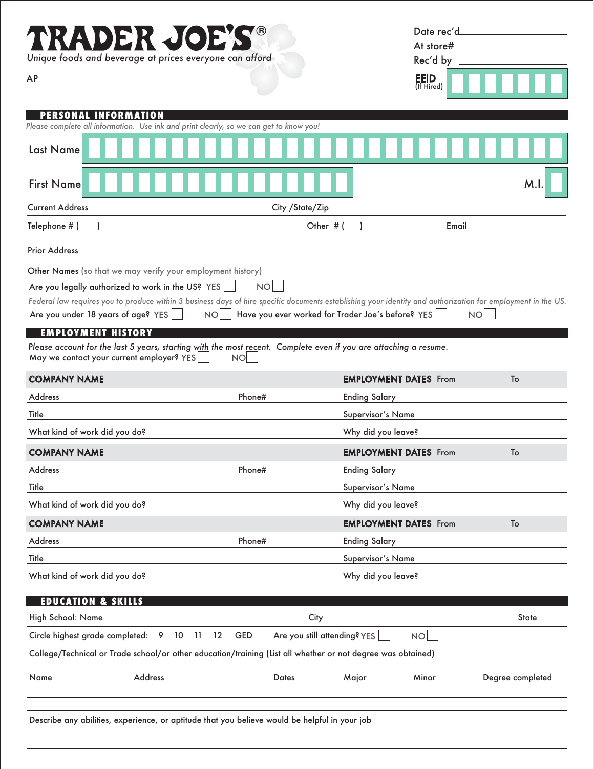| <b>ADER JOEK</b>                                                                                                                                                                           |                                     | At store#                                                                                                                                                    |
|--------------------------------------------------------------------------------------------------------------------------------------------------------------------------------------------|-------------------------------------|--------------------------------------------------------------------------------------------------------------------------------------------------------------|
| Unique foods and beverage at prices everyone can afford                                                                                                                                    |                                     | Rec'd by $\overline{a}$                                                                                                                                      |
| AP                                                                                                                                                                                         |                                     | <b>EEID</b><br>(If Hired)                                                                                                                                    |
| PERSONAL<br><b>INFORMATION</b><br>Please complete all information. Use ink and print clearly, so we can get to know you!                                                                   |                                     |                                                                                                                                                              |
| <b>Last Name</b>                                                                                                                                                                           |                                     |                                                                                                                                                              |
| <b>First Name</b>                                                                                                                                                                          |                                     | M.l                                                                                                                                                          |
| <b>Current Address</b>                                                                                                                                                                     | City / State/Zip                    |                                                                                                                                                              |
| Telephone # (                                                                                                                                                                              | Other # (                           | Email<br>$\mathbf{I}$                                                                                                                                        |
| <b>Prior Address</b>                                                                                                                                                                       |                                     |                                                                                                                                                              |
| Other Names (so that we may verify your employment history)                                                                                                                                |                                     |                                                                                                                                                              |
| Are you legally authorized to work in the US? YES                                                                                                                                          | NO                                  |                                                                                                                                                              |
|                                                                                                                                                                                            |                                     | Federal law requires you to produce within 3 business days of hire specific documents establishing your identity and authorization for employment in the US. |
| Are you under 18 years of age? YES<br><b>NO</b>                                                                                                                                            |                                     | Have you ever worked for Trader Joe's before? YES<br>NO <sub>1</sub>                                                                                         |
| <b>EMPLOYMENT HISTORY</b><br>Please account for the last 5 years, starting with the most recent. Complete even if you are attaching a resume.<br>May we contact your current employer? YES | <b>NO</b>                           |                                                                                                                                                              |
| <b>COMPANY NAME</b>                                                                                                                                                                        |                                     | <b>EMPLOYMENT DATES From</b><br>To                                                                                                                           |
| Address                                                                                                                                                                                    | Phone#                              | <b>Ending Salary</b>                                                                                                                                         |
| Title                                                                                                                                                                                      |                                     | Supervisor's Name                                                                                                                                            |
| What kind of work did you do?                                                                                                                                                              |                                     | Why did you leave?                                                                                                                                           |
| <b>COMPANY NAME</b>                                                                                                                                                                        |                                     | <b>EMPLOYMENT DATES From</b><br>To                                                                                                                           |
| Address                                                                                                                                                                                    | Phone#                              | <b>Ending Salary</b>                                                                                                                                         |
| Title                                                                                                                                                                                      |                                     | Supervisor's Name                                                                                                                                            |
| What kind of work did you do?                                                                                                                                                              |                                     | Why did you leave?                                                                                                                                           |
| <b>COMPANY NAME</b>                                                                                                                                                                        |                                     | <b>EMPLOYMENT DATES From</b><br>To                                                                                                                           |
| Address                                                                                                                                                                                    | Phone#                              | <b>Ending Salary</b>                                                                                                                                         |
| Title                                                                                                                                                                                      |                                     | Supervisor's Name                                                                                                                                            |
| What kind of work did you do?                                                                                                                                                              |                                     | Why did you leave?                                                                                                                                           |
| <b>EDUCATION &amp; SKILLS</b>                                                                                                                                                              |                                     |                                                                                                                                                              |
| High School: Name                                                                                                                                                                          | City                                | <b>State</b>                                                                                                                                                 |
| Circle highest grade completed: 9 10<br>11<br>12                                                                                                                                           | Are you still attending? YES<br>GED | NO                                                                                                                                                           |
| College/Technical or Trade school/or other education/training (List all whether or not degree was obtained)                                                                                |                                     |                                                                                                                                                              |
| Address<br>Name                                                                                                                                                                            | <b>Dates</b>                        | Minor<br>Major<br>Degree completed                                                                                                                           |
| Describe any abilities, experience, or aptitude that you believe would be helpful in your job                                                                                              |                                     |                                                                                                                                                              |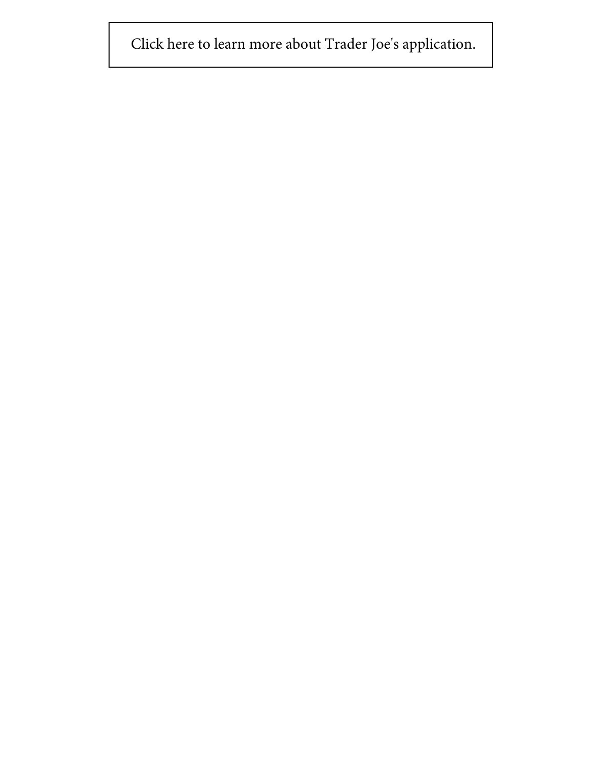[Click here to learn more about Trader Joe's application.](http://www.jobapplicationform.us/trader-joes-job-application-form.html)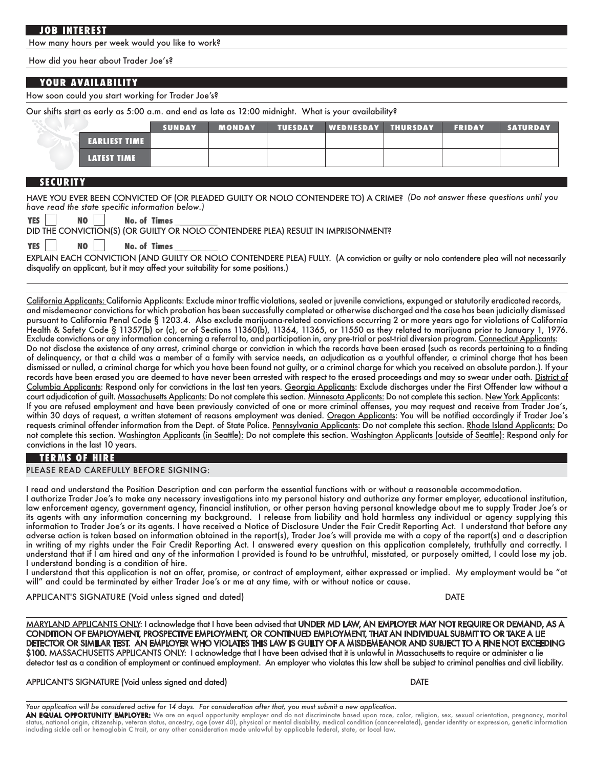# **JOB INTEREST**

How many hours per week would you like to work?

How did you hear about Trader Joe's?

### **YOUR AVAILABILITY**

How soon could you start working for Trader Joe's?

Our shifts start as early as 5:00 a.m. and end as late as 12:00 midnight. What is your availability?

|                      | <b>SUNDAY</b> | <b>MONDAY</b> | <b>TUESDAY</b> | WEDNESDAY THURSDAY FRIDAY |  | <b>SATURDAY</b> |
|----------------------|---------------|---------------|----------------|---------------------------|--|-----------------|
| <b>EARLIEST TIME</b> |               |               |                |                           |  |                 |
| <b>LATEST TIME</b>   |               |               |                |                           |  |                 |

#### **SECURITY**

HAVE YOU EVER BEEN CONVICTED OF (OR PLEADED GUILTY OR NOLO CONTENDERE TO) A CRIME? *(Do not answer these questions until you have read the state specific information below.)*

| <b>YES</b> | NO |  | No. of Times                                                                                                                             |
|------------|----|--|------------------------------------------------------------------------------------------------------------------------------------------|
|            |    |  | DID THE CONVICTION(S) (OR GUILTY OR NOLO CONTENDERE PLEA) RESULT IN IMPRISONMENT?                                                        |
|            |    |  | YES NO NO No. of Times                                                                                                                   |
|            |    |  | EXPLAIN EACH CONVICTION (AND GUILTY OR NOLO CONTENDERE PLEA) FULLY. (A conviction or quilty or nolo contendere plea will not necessarily |
|            |    |  | disqualify an applicant, but it may affect your suitability for some positions.)                                                         |

California Applicants: California Applicants: Exclude minor traffic violations, sealed or juvenile convictions, expunged or statutorily eradicated records, and misdemeanor convictions for which probation has been successfully completed or otherwise discharged and the case has been judicially dismissed pursuant to California Penal Code § 1203.4. Also exclude marijuana-related convictions occurring 2 or more years ago for violations of California Health & Safety Code § 11357(b) or (c), or of Sections 11360(b), 11364, 11365, or 11550 as they related to marijuana prior to January 1, 1976. Exclude convictions or any information concerning a referral to, and participation in, any pre-trial or post-trial diversion program. Connecticut Applicants: Do not disclose the existence of any arrest, criminal charge or conviction in which the records have been erased (such as records pertaining to a finding of delinquency, or that a child was a member of a family with service needs, an adjudication as a youthful offender, a criminal charge that has been dismissed or nulled, a criminal charge for which you have been found not guilty, or a criminal charge for which you received an absolute pardon.). If your records have been erased you are deemed to have never been arrested with respect to the erased proceedings and may so swear under oath. District of Columbia Applicants: Respond only for convictions in the last ten years. Georgia Applicants: Exclude discharges under the First Offender law without a court adjudication of guilt. Massachusetts Applicants: Do not complete this section. Minnesota Applicants: Do not complete this section. New York Applicants: If you are refused employment and have been previously convicted of one or more criminal offenses, you may request and receive from Trader Joe's, within 30 days of request, a written statement of reasons employment was denied. Oregon Applicants: You will be notified accordingly if Trader Joe's requests criminal offender information from the Dept. of State Police. Pennsylvania Applicants: Do not complete this section. Rhode Island Applicants: Do not complete this section. Washington Applicants (in Seattle): Do not complete this section. Washington Applicants (outside of Seattle): Respond only for convictions in the last 10 years.

#### **TERMS OF HIRE**

PLEASE READ CAREFULLY BEFORE SIGNING:

I read and understand the Position Description and can perform the essential functions with or without a reasonable accommodation.

I authorize Trader Joe's to make any necessary investigations into my personal history and authorize any former employer, educational institution, law enforcement agency, government agency, financial institution, or other person having personal knowledge about me to supply Trader Joe's or its agents with any information concerning my background. I release from liability and hold harmless any individual or agency supplying this information to Trader Joe's or its agents. I have received a Notice of Disclosure Under the Fair Credit Reporting Act. I understand that before any adverse action is taken based on information obtained in the report(s), Trader Joe's will provide me with a copy of the report(s) and a description in writing of my rights under the Fair Credit Reporting Act. I answered every question on this application completely, truthfully and correctly. I understand that if I am hired and any of the information I provided is found to be untruthful, misstated, or purposely omitted, I could lose my job. I understand bonding is a condition of hire.

I understand that this application is not an offer, promise, or contract of employment, either expressed or implied. My employment would be "at will" and could be terminated by either Trader Joe's or me at any time, with or without notice or cause.

APPLICANT'S SIGNATURE (Void unless signed and dated) and the control of the control of the DATE

MARYLAND APPLICANTS ONLY: I acknowledge that I have been advised that UNDER MD LAW, AN EMPLOYER MAY NOT REQUIRE OR DEMAND, AS A CONDITION OF EMPLOYMENT, PROSPECTIVE EMPLOYMENT, OR CONTINUED EMPLOYMENT, THAT AN INDIVIDUAL SUBMIT TO OR TAKE A LIE DETECTOR OR SIMILAR TEST. AN EMPLOYER WHO VIOLATES THIS LAW IS GUILTY OF A MISDEMEANOR AND SUBJECT TO A FINE NOT EXCEEDING \$100. MASSACHUSETTS APPLICANTS ONLY: I acknowledge that I have been advised that it is unlawful in Massachusetts to require or administer a lie detector test as a condition of employment or continued employment. An employer who violates this law shall be subject to criminal penalties and civil liability.

APPLICANT'S SIGNATURE (Void unless signed and dated) DATE

*Your application will be considered active for 14 days. For consideration after that, you must submit a new application.*

AN EQUAL OPPORTUNITY EMPLOYER: We are an equal opportunity employer and do not discriminate based upon race, color, religion, sex, sexual orientation, pregnancy, marital status, national origin, citizenship, veteran status, ancestry, age (over 40), physical or mental disability, medical condition (cancer-related), gender identity or expression, genetic information including sickle cell or hemoglobin C trait, or any other consideration made unlawful by applicable federal, state, or local law.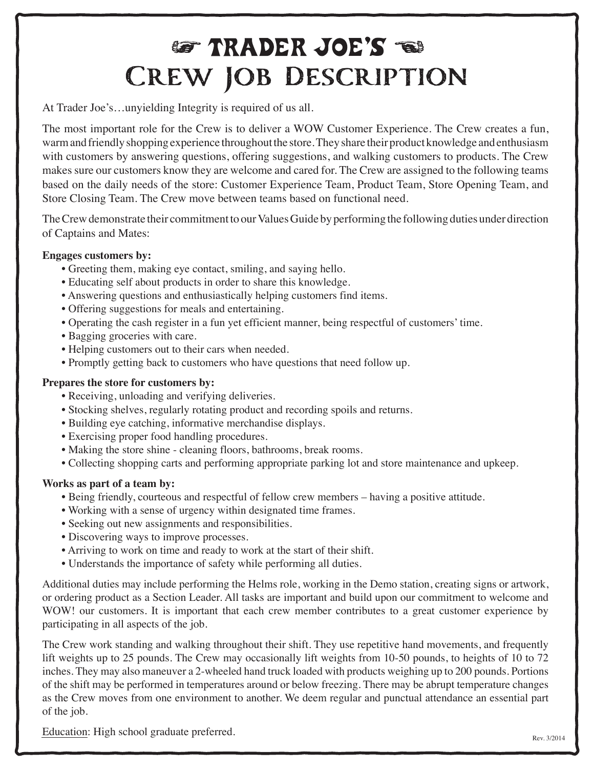# **SEE TRADER JOE'S SEE Crew Job Description**

At Trader Joe's…unyielding Integrity is required of us all.

The most important role for the Crew is to deliver a WOW Customer Experience. The Crew creates a fun, warm and friendly shopping experience throughout the store. They share their product knowledge and enthusiasm with customers by answering questions, offering suggestions, and walking customers to products. The Crew makes sure our customers know they are welcome and cared for. The Crew are assigned to the following teams based on the daily needs of the store: Customer Experience Team, Product Team, Store Opening Team, and Store Closing Team. The Crew move between teams based on functional need.

The Crew demonstrate their commitment to our Values Guide by performing the following duties under direction of Captains and Mates:

## **Engages customers by:**

- Greeting them, making eye contact, smiling, and saying hello.
- Educating self about products in order to share this knowledge.
- Answering questions and enthusiastically helping customers find items.
- Offering suggestions for meals and entertaining.
- Operating the cash register in a fun yet efficient manner, being respectful of customers' time.
- Bagging groceries with care.
- Helping customers out to their cars when needed.
- Promptly getting back to customers who have questions that need follow up.

## **Prepares the store for customers by:**

- Receiving, unloading and verifying deliveries.
- Stocking shelves, regularly rotating product and recording spoils and returns.
- Building eye catching, informative merchandise displays.
- Exercising proper food handling procedures.
- Making the store shine cleaning floors, bathrooms, break rooms.
- Collecting shopping carts and performing appropriate parking lot and store maintenance and upkeep.

## **Works as part of a team by:**

- Being friendly, courteous and respectful of fellow crew members having a positive attitude.
- Working with a sense of urgency within designated time frames.
- Seeking out new assignments and responsibilities.
- Discovering ways to improve processes.
- Arriving to work on time and ready to work at the start of their shift.
- Understands the importance of safety while performing all duties.

Additional duties may include performing the Helms role, working in the Demo station, creating signs or artwork, or ordering product as a Section Leader. All tasks are important and build upon our commitment to welcome and WOW! our customers. It is important that each crew member contributes to a great customer experience by participating in all aspects of the job.

The Crew work standing and walking throughout their shift. They use repetitive hand movements, and frequently lift weights up to 25 pounds. The Crew may occasionally lift weights from 10-50 pounds, to heights of 10 to 72 inches. They may also maneuver a 2-wheeled hand truck loaded with products weighing up to 200 pounds. Portions of the shift may be performed in temperatures around or below freezing. There may be abrupt temperature changes as the Crew moves from one environment to another. We deem regular and punctual attendance an essential part of the job.

Education: High school graduate preferred.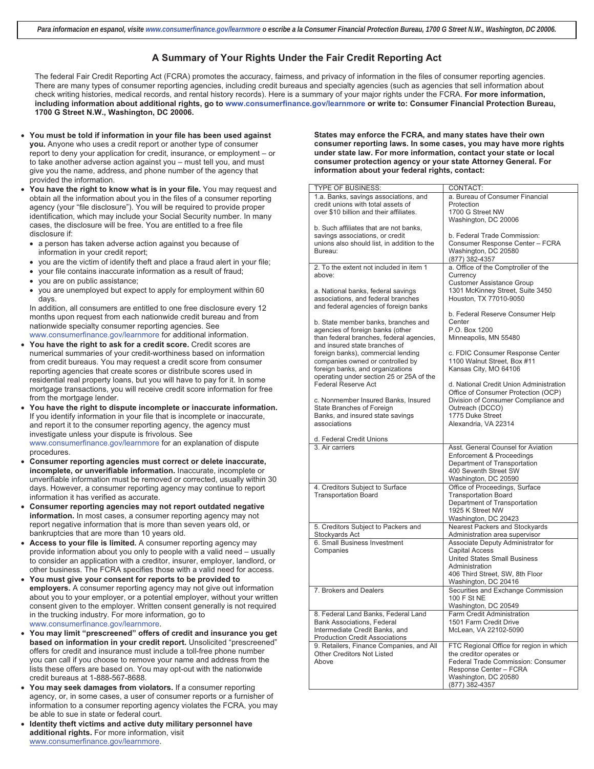#### **A Summary of Your Rights Under the Fair Credit Reporting Act**

The federal Fair Credit Reporting Act (FCRA) promotes the accuracy, fairness, and privacy of information in the files of consumer reporting agencies. There are many types of consumer reporting agencies, including credit bureaus and specialty agencies (such as agencies that sell information about check writing histories, medical records, and rental history records). Here is a summary of your major rights under the FCRA. **For more information, including information about additional rights, go to www.consumerfinance.gov/learnmore or write to: Consumer Financial Protection Bureau, 1700 G Street N.W., Washington, DC 20006.**

- **You must be told if information in your file has been used against you.** Anyone who uses a credit report or another type of consumer report to deny your application for credit, insurance, or employment – or to take another adverse action against you – must tell you, and must give you the name, address, and phone number of the agency that provided the information.
- - **You have the right to know what is in your file.** You may request and obtain all the information about you in the files of a consumer reporting agency (your "file disclosure"). You will be required to provide proper identification, which may include your Social Security number. In many cases, the disclosure will be free. You are entitled to a free file disclosure if:
	- a person has taken adverse action against you because of information in your credit report;
	- you are the victim of identify theft and place a fraud alert in your file;
	- your file contains inaccurate information as a result of fraud;
	- you are on public assistance;
	- you are unemployed but expect to apply for employment within 60 days.

In addition, all consumers are entitled to one free disclosure every 12 months upon request from each nationwide credit bureau and from nationwide specialty consumer reporting agencies. See www.consumerfinance.gov/learnmore for additional information.

- **You have the right to ask for a credit score.** Credit scores are numerical summaries of your credit-worthiness based on information from credit bureaus. You may request a credit score from consumer reporting agencies that create scores or distribute scores used in residential real property loans, but you will have to pay for it. In some mortgage transactions, you will receive credit score information for free from the mortgage lender.
- - **You have the right to dispute incomplete or inaccurate information.**  If you identify information in your file that is incomplete or inaccurate, and report it to the consumer reporting agency, the agency must investigate unless your dispute is frivolous. See www.consumerfinance.gov/learnmore for an explanation of dispute procedures.
- - **Consumer reporting agencies must correct or delete inaccurate, incomplete, or unverifiable information.** Inaccurate, incomplete or unverifiable information must be removed or corrected, usually within 30 days. However, a consumer reporting agency may continue to report information it has verified as accurate.
- - **Consumer reporting agencies may not report outdated negative information.** In most cases, a consumer reporting agency may not report negative information that is more than seven years old, or bankruptcies that are more than 10 years old.
- **Access to your file is limited.** A consumer reporting agency may provide information about you only to people with a valid need – usually to consider an application with a creditor, insurer, employer, landlord, or other business. The FCRA specifies those with a valid need for access.
- - **You must give your consent for reports to be provided to employers.** A consumer reporting agency may not give out information about you to your employer, or a potential employer, without your written consent given to the employer. Written consent generally is not required in the trucking industry. For more information, go to www.consumerfinance.gov/learnmore.
- **You may limit "prescreened" offers of credit and insurance you get based on information in your credit report.** Unsolicited "prescreened" offers for credit and insurance must include a toll-free phone number you can call if you choose to remove your name and address from the lists these offers are based on. You may opt-out with the nationwide credit bureaus at 1-888-567-8688.
- **You may seek damages from violators.** If a consumer reporting agency, or, in some cases, a user of consumer reports or a furnisher of information to a consumer reporting agency violates the FCRA, you may be able to sue in state or federal court.
- **Identity theft victims and active duty military personnel have additional rights.** For more information, visit www.consumerfinance.gov/learnmore.

**States may enforce the FCRA, and many states have their own consumer reporting laws. In some cases, you may have more rights under state law. For more information, contact your state or local consumer protection agency or your state Attorney General. For information about your federal rights, contact:** 

| TYPE OF BUSINESS:                           | CONTACT:                                |
|---------------------------------------------|-----------------------------------------|
| 1.a. Banks, savings associations, and       | a. Bureau of Consumer Financial         |
| credit unions with total assets of          | Protection                              |
| over \$10 billion and their affiliates.     | 1700 G Street NW                        |
|                                             | Washington, DC 20006                    |
| b. Such affiliates that are not banks,      |                                         |
| savings associations, or credit             | b. Federal Trade Commission:            |
| unions also should list, in addition to the | Consumer Response Center - FCRA         |
| <b>Bureau</b>                               | Washington, DC 20580                    |
|                                             | (877) 382-4357                          |
| 2. To the extent not included in item 1     | a. Office of the Comptroller of the     |
| above:                                      | Currency                                |
|                                             | <b>Customer Assistance Group</b>        |
| a. National banks, federal savings          | 1301 McKinney Street, Suite 3450        |
|                                             |                                         |
| associations, and federal branches          | Houston, TX 77010-9050                  |
| and federal agencies of foreign banks       |                                         |
|                                             | b. Federal Reserve Consumer Help        |
| b. State member banks, branches and         | Center                                  |
| agencies of foreign banks (other            | P.O. Box 1200                           |
| than federal branches, federal agencies,    | Minneapolis, MN 55480                   |
| and insured state branches of               |                                         |
| foreign banks), commercial lending          | c. FDIC Consumer Response Center        |
| companies owned or controlled by            | 1100 Walnut Street, Box #11             |
| foreign banks, and organizations            | Kansas City, MO 64106                   |
| operating under section 25 or 25A of the    |                                         |
| <b>Federal Reserve Act</b>                  | d. National Credit Union Administration |
|                                             | Office of Consumer Protection (OCP)     |
| c. Nonmember Insured Banks, Insured         | Division of Consumer Compliance and     |
| State Branches of Foreign                   | Outreach (DCCO)                         |
| Banks, and insured state savings            | 1775 Duke Street                        |
| associations                                | Alexandria, VA 22314                    |
|                                             |                                         |
| d. Federal Credit Unions                    |                                         |
| 3. Air carriers                             | Asst. General Counsel for Aviation      |
|                                             |                                         |
|                                             | Enforcement & Proceedings               |
|                                             | Department of Transportation            |
|                                             |                                         |
|                                             | 400 Seventh Street SW                   |
|                                             | Washington, DC 20590                    |
| 4. Creditors Subject to Surface             | Office of Proceedings, Surface          |
| <b>Transportation Board</b>                 | <b>Transportation Board</b>             |
|                                             | Department of Transportation            |
|                                             | 1925 K Street NW                        |
|                                             | Washington, DC 20423                    |
| 5. Creditors Subject to Packers and         | <b>Nearest Packers and Stockyards</b>   |
| Stockyards Act                              | Administration area supervisor          |
| 6. Small Business Investment                | Associate Deputy Administrator for      |
| Companies                                   | <b>Capital Access</b>                   |
|                                             | <b>United States Small Business</b>     |
|                                             | Administration                          |
|                                             |                                         |
|                                             | 406 Third Street, SW, 8th Floor         |
|                                             | Washington, DC 20416                    |
| 7. Brokers and Dealers                      | Securities and Exchange Commission      |
|                                             | 100 F St NE                             |
|                                             | Washington, DC 20549                    |
| 8. Federal Land Banks, Federal Land         | <b>Farm Credit Administration</b>       |
| Bank Associations, Federal                  | 1501 Farm Credit Drive                  |
| Intermediate Credit Banks, and              | McLean, VA 22102-5090                   |
| <b>Production Credit Associations</b>       |                                         |
| 9. Retailers, Finance Companies, and All    | FTC Regional Office for region in which |
| <b>Other Creditors Not Listed</b>           | the creditor operates or                |
| Above                                       | Federal Trade Commission: Consumer      |
|                                             | Response Center - FCRA                  |
|                                             | Washington, DC 20580<br>(877) 382-4357  |